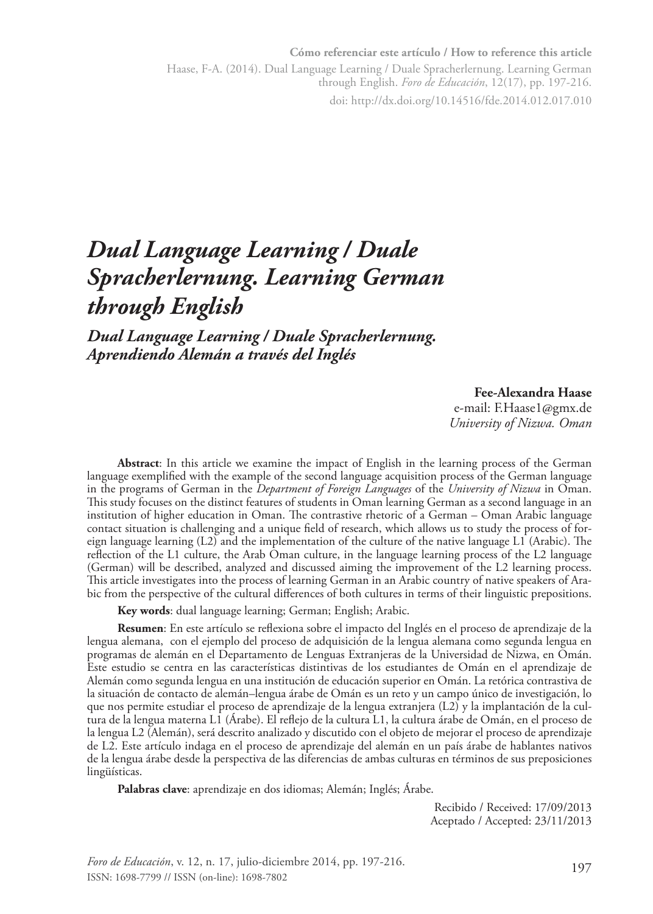**Cómo referenciar este artículo / How to reference this article** Haase, F-A. (2014). Dual Language Learning / Duale Spracherlernung. Learning German through English. *Foro de Educación*, 12(17), pp. 197-216. doi: http://dx.doi.org/10.14516/fde.2014.012.017.010

# *Dual Language Learning / Duale Spracherlernung. Learning German through English*

*Dual Language Learning / Duale Spracherlernung. Aprendiendo Alemán a través del Inglés*

#### **Fee-Alexandra Haase**

e-mail: F.Haase1@gmx.de *University of Nizwa. Oman*

**Abstract**: In this article we examine the impact of English in the learning process of the German language exemplified with the example of the second language acquisition process of the German language in the programs of German in the *Department of Foreign Languages* of the *University of Nizwa* in Oman. This study focuses on the distinct features of students in Oman learning German as a second language in an institution of higher education in Oman. The contrastive rhetoric of a German – Oman Arabic language contact situation is challenging and a unique field of research, which allows us to study the process of foreign language learning (L2) and the implementation of the culture of the native language L1 (Arabic). The reflection of the L1 culture, the Arab Oman culture, in the language learning process of the L2 language (German) will be described, analyzed and discussed aiming the improvement of the L2 learning process. This article investigates into the process of learning German in an Arabic country of native speakers of Arabic from the perspective of the cultural differences of both cultures in terms of their linguistic prepositions.

**Key words**: dual language learning; German; English; Arabic.

**Resumen**: En este artículo se reflexiona sobre el impacto del Inglés en el proceso de aprendizaje de la lengua alemana, con el ejemplo del proceso de adquisición de la lengua alemana como segunda lengua en programas de alemán en el Departamento de Lenguas Extranjeras de la Universidad de Nizwa, en Omán. Este estudio se centra en las características distintivas de los estudiantes de Omán en el aprendizaje de Alemán como segunda lengua en una institución de educación superior en Omán. La retórica contrastiva de la situación de contacto de alemán–lengua árabe de Omán es un reto y un campo único de investigación, lo que nos permite estudiar el proceso de aprendizaje de la lengua extranjera (L2) y la implantación de la cultura de la lengua materna L1 (Árabe). El reflejo de la cultura L1, la cultura árabe de Omán, en el proceso de la lengua L2 (Alemán), será descrito analizado y discutido con el objeto de mejorar el proceso de aprendizaje de L2. Este artículo indaga en el proceso de aprendizaje del alemán en un país árabe de hablantes nativos de la lengua árabe desde la perspectiva de las diferencias de ambas culturas en términos de sus preposiciones lingüísticas.

**Palabras clave**: aprendizaje en dos idiomas; Alemán; Inglés; Árabe.

Recibido / Received: 17/09/2013 Aceptado / Accepted: 23/11/2013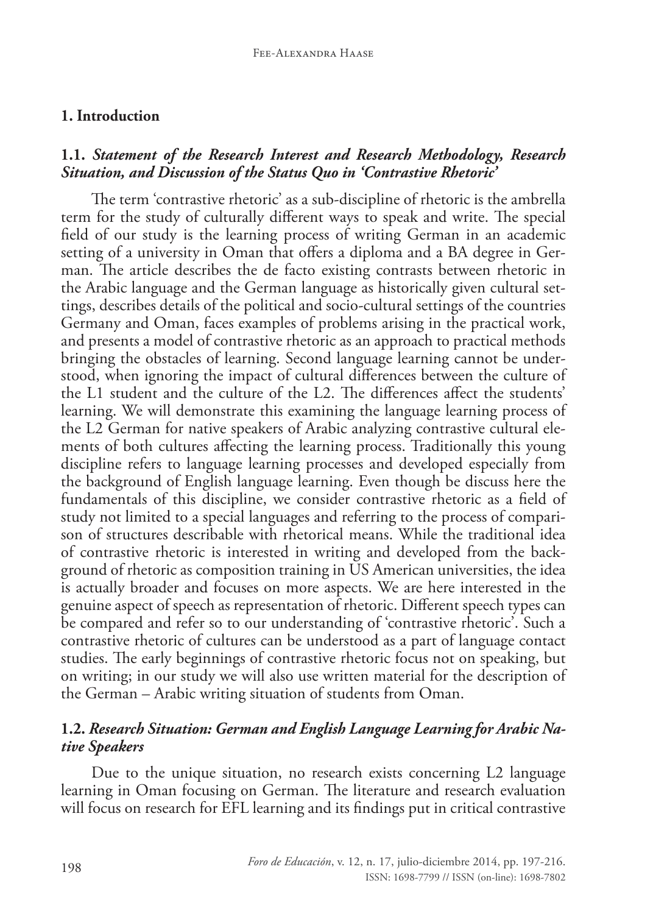#### **1. Introduction**

#### **1.1.** *Statement of the Research Interest and Research Methodology, Research Situation, and Discussion of the Status Quo in 'Contrastive Rhetoric'*

The term 'contrastive rhetoric' as a sub-discipline of rhetoric is the ambrella term for the study of culturally different ways to speak and write. The special field of our study is the learning process of writing German in an academic setting of a university in Oman that offers a diploma and a BA degree in German. The article describes the de facto existing contrasts between rhetoric in the Arabic language and the German language as historically given cultural settings, describes details of the political and socio-cultural settings of the countries Germany and Oman, faces examples of problems arising in the practical work, and presents a model of contrastive rhetoric as an approach to practical methods bringing the obstacles of learning. Second language learning cannot be understood, when ignoring the impact of cultural differences between the culture of the L1 student and the culture of the L2. The differences affect the students' learning. We will demonstrate this examining the language learning process of the L2 German for native speakers of Arabic analyzing contrastive cultural elements of both cultures affecting the learning process. Traditionally this young discipline refers to language learning processes and developed especially from the background of English language learning. Even though be discuss here the fundamentals of this discipline, we consider contrastive rhetoric as a field of study not limited to a special languages and referring to the process of comparison of structures describable with rhetorical means. While the traditional idea of contrastive rhetoric is interested in writing and developed from the background of rhetoric as composition training in US American universities, the idea is actually broader and focuses on more aspects. We are here interested in the genuine aspect of speech as representation of rhetoric. Different speech types can be compared and refer so to our understanding of 'contrastive rhetoric'. Such a contrastive rhetoric of cultures can be understood as a part of language contact studies. The early beginnings of contrastive rhetoric focus not on speaking, but on writing; in our study we will also use written material for the description of the German – Arabic writing situation of students from Oman.

### **1.2.** *Research Situation: German and English Language Learning for Arabic Native Speakers*

Due to the unique situation, no research exists concerning L2 language learning in Oman focusing on German. The literature and research evaluation will focus on research for EFL learning and its findings put in critical contrastive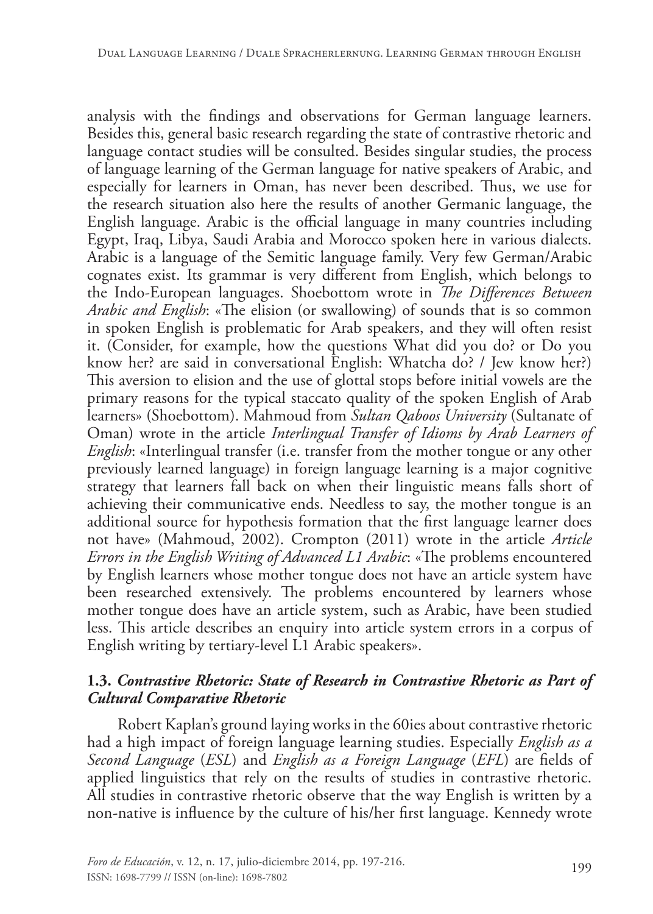analysis with the findings and observations for German language learners. Besides this, general basic research regarding the state of contrastive rhetoric and language contact studies will be consulted. Besides singular studies, the process of language learning of the German language for native speakers of Arabic, and especially for learners in Oman, has never been described. Thus, we use for the research situation also here the results of another Germanic language, the English language. Arabic is the official language in many countries including Egypt, Iraq, Libya, Saudi Arabia and Morocco spoken here in various dialects. Arabic is a language of the Semitic language family. Very few German/Arabic cognates exist. Its grammar is very different from English, which belongs to the Indo-European languages. Shoebottom wrote in *The Differences Between Arabic and English*: «The elision (or swallowing) of sounds that is so common in spoken English is problematic for Arab speakers, and they will often resist it. (Consider, for example, how the questions What did you do? or Do you know her? are said in conversational English: Whatcha do? / Jew know her?) This aversion to elision and the use of glottal stops before initial vowels are the primary reasons for the typical staccato quality of the spoken English of Arab learners» (Shoebottom). Mahmoud from *Sultan Qaboos University* (Sultanate of Oman) wrote in the article *Interlingual Transfer of Idioms by Arab Learners of English*: «Interlingual transfer (i.e. transfer from the mother tongue or any other previously learned language) in foreign language learning is a major cognitive strategy that learners fall back on when their linguistic means falls short of achieving their communicative ends. Needless to say, the mother tongue is an additional source for hypothesis formation that the first language learner does not have» (Mahmoud, 2002). Crompton (2011) wrote in the article *Article Errors in the English Writing of Advanced L1 Arabic*: «The problems encountered by English learners whose mother tongue does not have an article system have been researched extensively. The problems encountered by learners whose mother tongue does have an article system, such as Arabic, have been studied less. This article describes an enquiry into article system errors in a corpus of English writing by tertiary-level L1 Arabic speakers».

#### **1.3.** *Contrastive Rhetoric: State of Research in Contrastive Rhetoric as Part of Cultural Comparative Rhetoric*

Robert Kaplan's ground laying works in the 60ies about contrastive rhetoric had a high impact of foreign language learning studies. Especially *English as a Second Language* (*ESL*) and *English as a Foreign Language* (*EFL*) are fields of applied linguistics that rely on the results of studies in contrastive rhetoric. All studies in contrastive rhetoric observe that the way English is written by a non-native is influence by the culture of his/her first language. Kennedy wrote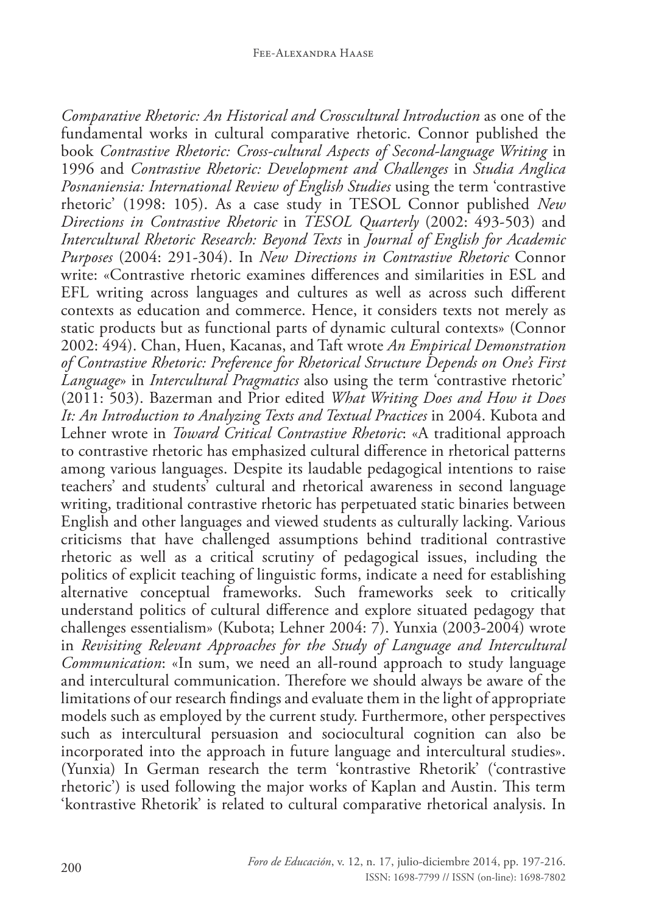*Comparative Rhetoric: An Historical and Crosscultural Introduction* as one of the fundamental works in cultural comparative rhetoric. Connor published the book *Contrastive Rhetoric: Cross-cultural Aspects of Second-language Writing* in 1996 and *Contrastive Rhetoric: Development and Challenges* in *Studia Anglica Posnaniensia: International Review of English Studies* using the term 'contrastive rhetoric' (1998: 105). As a case study in TESOL Connor published *New Directions in Contrastive Rhetoric* in *TESOL Quarterly* (2002: 493-503) and *Intercultural Rhetoric Research: Beyond Texts* in *Journal of English for Academic Purposes* (2004: 291-304). In *New Directions in Contrastive Rhetoric* Connor write: «Contrastive rhetoric examines differences and similarities in ESL and EFL writing across languages and cultures as well as across such different contexts as education and commerce. Hence, it considers texts not merely as static products but as functional parts of dynamic cultural contexts» (Connor 2002: 494). Chan, Huen, Kacanas, and Taft wrote *An Empirical Demonstration of Contrastive Rhetoric: Preference for Rhetorical Structure Depends on One's First Language*» in *Intercultural Pragmatics* also using the term 'contrastive rhetoric' (2011: 503). Bazerman and Prior edited *What Writing Does and How it Does It: An Introduction to Analyzing Texts and Textual Practices* in 2004. Kubota and Lehner wrote in *Toward Critical Contrastive Rhetoric*: «A traditional approach to contrastive rhetoric has emphasized cultural difference in rhetorical patterns among various languages. Despite its laudable pedagogical intentions to raise teachers' and students' cultural and rhetorical awareness in second language writing, traditional contrastive rhetoric has perpetuated static binaries between English and other languages and viewed students as culturally lacking. Various criticisms that have challenged assumptions behind traditional contrastive rhetoric as well as a critical scrutiny of pedagogical issues, including the politics of explicit teaching of linguistic forms, indicate a need for establishing alternative conceptual frameworks. Such frameworks seek to critically understand politics of cultural difference and explore situated pedagogy that challenges essentialism» (Kubota; Lehner 2004: 7). Yunxia (2003-2004) wrote in *Revisiting Relevant Approaches for the Study of Language and Intercultural Communication*: «In sum, we need an all-round approach to study language and intercultural communication. Therefore we should always be aware of the limitations of our research findings and evaluate them in the light of appropriate models such as employed by the current study. Furthermore, other perspectives such as intercultural persuasion and sociocultural cognition can also be incorporated into the approach in future language and intercultural studies». (Yunxia) In German research the term 'kontrastive Rhetorik' ('contrastive rhetoric') is used following the major works of Kaplan and Austin. This term 'kontrastive Rhetorik' is related to cultural comparative rhetorical analysis. In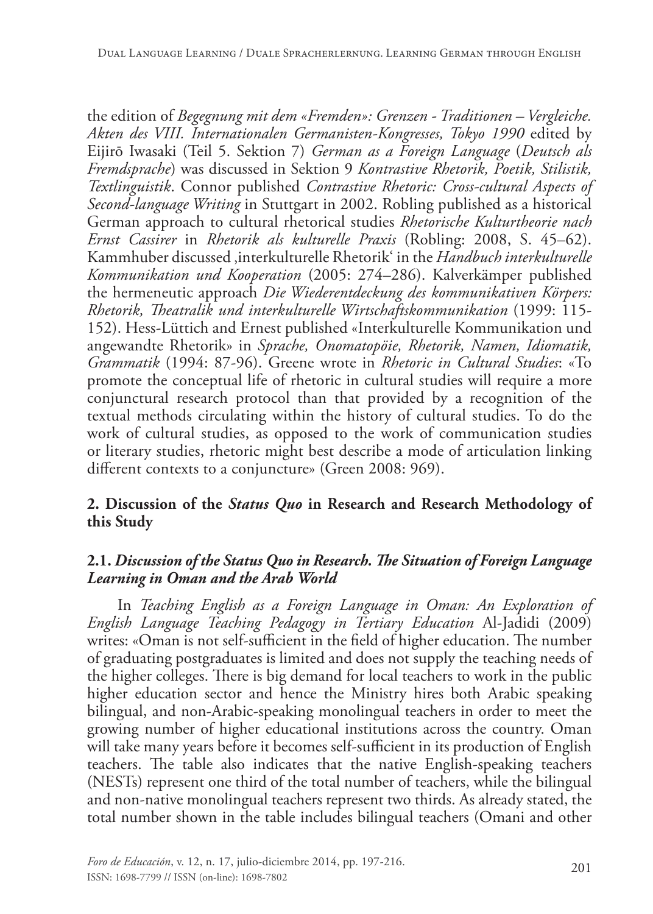the edition of *Begegnung mit dem «Fremden»: Grenzen - Traditionen – Vergleiche. Akten des VIII. Internationalen Germanisten-Kongresses, Tokyo 1990* edited by Eijirō Iwasaki (Teil 5. Sektion 7) *German as a Foreign Language* (*Deutsch als Fremdsprache*) was discussed in Sektion 9 *Kontrastive Rhetorik, Poetik, Stilistik, Textlinguistik*. Connor published *Contrastive Rhetoric: Cross-cultural Aspects of Second-language Writing* in Stuttgart in 2002. Robling published as a historical German approach to cultural rhetorical studies *Rhetorische Kulturtheorie nach Ernst Cassirer* in *Rhetorik als kulturelle Praxis* (Robling: 2008, S. 45–62). Kammhuber discussed 'interkulturelle Rhetorik' in the *Handbuch interkulturelle Kommunikation und Kooperation* (2005: 274–286). Kalverkämper published the hermeneutic approach *Die Wiederentdeckung des kommunikativen Körpers: Rhetorik, Theatralik und interkulturelle Wirtschaftskommunikation* (1999: 115- 152). Hess-Lüttich and Ernest published «Interkulturelle Kommunikation und angewandte Rhetorik» in *Sprache, Onomatopöie, Rhetorik, Namen, Idiomatik, Grammatik* (1994: 87-96). Greene wrote in *Rhetoric in Cultural Studies*: «To promote the conceptual life of rhetoric in cultural studies will require a more conjunctural research protocol than that provided by a recognition of the textual methods circulating within the history of cultural studies. To do the work of cultural studies, as opposed to the work of communication studies or literary studies, rhetoric might best describe a mode of articulation linking different contexts to a conjuncture» (Green 2008: 969).

#### **2. Discussion of the** *Status Quo* **in Research and Research Methodology of this Study**

#### **2.1.** *Discussion of the Status Quo in Research. The Situation of Foreign Language Learning in Oman and the Arab World*

In *Teaching English as a Foreign Language in Oman: An Exploration of English Language Teaching Pedagogy in Tertiary Education* Al-Jadidi (2009) writes: «Oman is not self-sufficient in the field of higher education. The number of graduating postgraduates is limited and does not supply the teaching needs of the higher colleges. There is big demand for local teachers to work in the public higher education sector and hence the Ministry hires both Arabic speaking bilingual, and non-Arabic-speaking monolingual teachers in order to meet the growing number of higher educational institutions across the country. Oman will take many years before it becomes self-sufficient in its production of English teachers. The table also indicates that the native English-speaking teachers (NESTs) represent one third of the total number of teachers, while the bilingual and non-native monolingual teachers represent two thirds. As already stated, the total number shown in the table includes bilingual teachers (Omani and other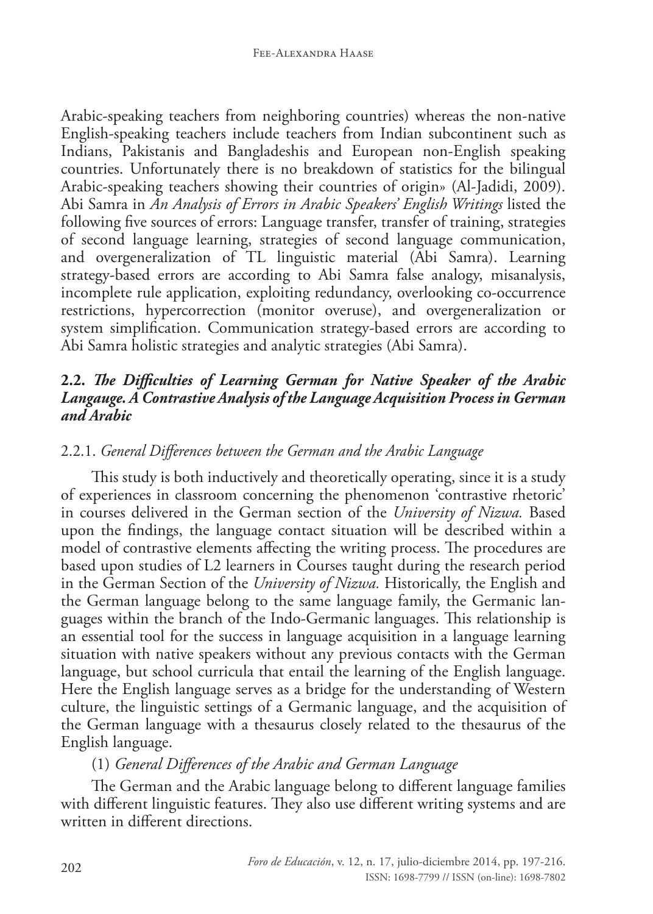Arabic-speaking teachers from neighboring countries) whereas the non-native English-speaking teachers include teachers from Indian subcontinent such as Indians, Pakistanis and Bangladeshis and European non-English speaking countries. Unfortunately there is no breakdown of statistics for the bilingual Arabic-speaking teachers showing their countries of origin» (Al-Jadidi, 2009). Abi Samra in *An Analysis of Errors in Arabic Speakers' English Writings* listed the following five sources of errors: Language transfer, transfer of training, strategies of second language learning, strategies of second language communication, and overgeneralization of TL linguistic material (Abi Samra). Learning strategy-based errors are according to Abi Samra false analogy, misanalysis, incomplete rule application, exploiting redundancy, overlooking co-occurrence restrictions, hypercorrection (monitor overuse), and overgeneralization or system simplification. Communication strategy-based errors are according to Abi Samra holistic strategies and analytic strategies (Abi Samra).

#### **2.2.** *The Difficulties of Learning German for Native Speaker of the Arabic Langauge. A Contrastive Analysis of the Language Acquisition Process in German and Arabic*

#### 2.2.1. *General Differences between the German and the Arabic Language*

This study is both inductively and theoretically operating, since it is a study of experiences in classroom concerning the phenomenon 'contrastive rhetoric' in courses delivered in the German section of the *University of Nizwa.* Based upon the findings, the language contact situation will be described within a model of contrastive elements affecting the writing process. The procedures are based upon studies of L2 learners in Courses taught during the research period in the German Section of the *University of Nizwa.* Historically, the English and the German language belong to the same language family, the Germanic languages within the branch of the Indo-Germanic languages. This relationship is an essential tool for the success in language acquisition in a language learning situation with native speakers without any previous contacts with the German language, but school curricula that entail the learning of the English language. Here the English language serves as a bridge for the understanding of Western culture, the linguistic settings of a Germanic language, and the acquisition of the German language with a thesaurus closely related to the thesaurus of the English language.

#### (1) *General Differences of the Arabic and German Language*

The German and the Arabic language belong to different language families with different linguistic features. They also use different writing systems and are written in different directions.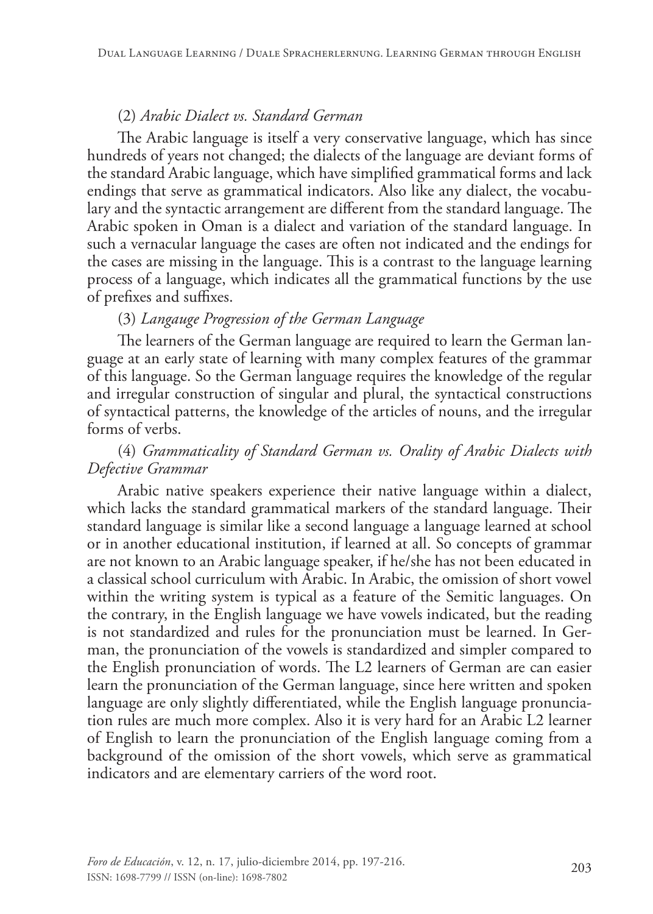### (2) *Arabic Dialect vs. Standard German*

The Arabic language is itself a very conservative language, which has since hundreds of years not changed; the dialects of the language are deviant forms of the standard Arabic language, which have simplified grammatical forms and lack endings that serve as grammatical indicators. Also like any dialect, the vocabulary and the syntactic arrangement are different from the standard language. The Arabic spoken in Oman is a dialect and variation of the standard language. In such a vernacular language the cases are often not indicated and the endings for the cases are missing in the language. This is a contrast to the language learning process of a language, which indicates all the grammatical functions by the use of prefixes and suffixes.

### (3) *Langauge Progression of the German Language*

The learners of the German language are required to learn the German language at an early state of learning with many complex features of the grammar of this language. So the German language requires the knowledge of the regular and irregular construction of singular and plural, the syntactical constructions of syntactical patterns, the knowledge of the articles of nouns, and the irregular forms of verbs.

### (4) *Grammaticality of Standard German vs. Orality of Arabic Dialects with Defective Grammar*

Arabic native speakers experience their native language within a dialect, which lacks the standard grammatical markers of the standard language. Their standard language is similar like a second language a language learned at school or in another educational institution, if learned at all. So concepts of grammar are not known to an Arabic language speaker, if he/she has not been educated in a classical school curriculum with Arabic. In Arabic, the omission of short vowel within the writing system is typical as a feature of the Semitic languages. On the contrary, in the English language we have vowels indicated, but the reading is not standardized and rules for the pronunciation must be learned. In German, the pronunciation of the vowels is standardized and simpler compared to the English pronunciation of words. The L2 learners of German are can easier learn the pronunciation of the German language, since here written and spoken language are only slightly differentiated, while the English language pronunciation rules are much more complex. Also it is very hard for an Arabic L2 learner of English to learn the pronunciation of the English language coming from a background of the omission of the short vowels, which serve as grammatical indicators and are elementary carriers of the word root.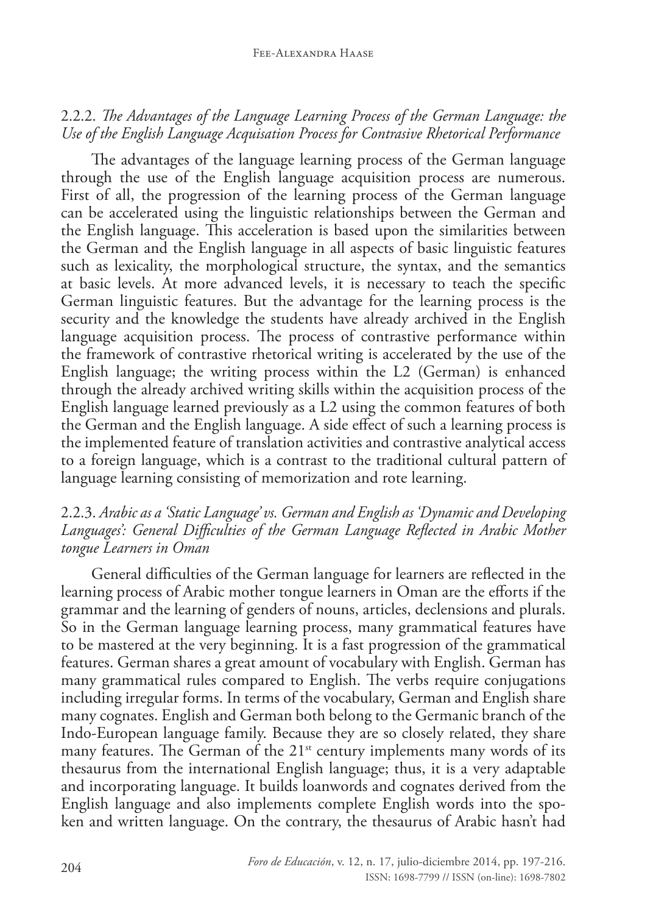#### 2.2.2. *The Advantages of the Language Learning Process of the German Language: the Use of the English Language Acquisation Process for Contrasive Rhetorical Performance*

The advantages of the language learning process of the German language through the use of the English language acquisition process are numerous. First of all, the progression of the learning process of the German language can be accelerated using the linguistic relationships between the German and the English language. This acceleration is based upon the similarities between the German and the English language in all aspects of basic linguistic features such as lexicality, the morphological structure, the syntax, and the semantics at basic levels. At more advanced levels, it is necessary to teach the specific German linguistic features. But the advantage for the learning process is the security and the knowledge the students have already archived in the English language acquisition process. The process of contrastive performance within the framework of contrastive rhetorical writing is accelerated by the use of the English language; the writing process within the L2 (German) is enhanced through the already archived writing skills within the acquisition process of the English language learned previously as a L2 using the common features of both the German and the English language. A side effect of such a learning process is the implemented feature of translation activities and contrastive analytical access to a foreign language, which is a contrast to the traditional cultural pattern of language learning consisting of memorization and rote learning.

#### 2.2.3. *Arabic as a 'Static Language' vs. German and English as 'Dynamic and Developing Languages': General Difficulties of the German Language Reflected in Arabic Mother tongue Learners in Oman*

General difficulties of the German language for learners are reflected in the learning process of Arabic mother tongue learners in Oman are the efforts if the grammar and the learning of genders of nouns, articles, declensions and plurals. So in the German language learning process, many grammatical features have to be mastered at the very beginning. It is a fast progression of the grammatical features. German shares a great amount of vocabulary with English. German has many grammatical rules compared to English. The verbs require conjugations including irregular forms. In terms of the vocabulary, German and English share many cognates. English and German both belong to the Germanic branch of the Indo-European language family. Because they are so closely related, they share many features. The German of the  $21<sup>st</sup>$  century implements many words of its thesaurus from the international English language; thus, it is a very adaptable and incorporating language. It builds loanwords and cognates derived from the English language and also implements complete English words into the spoken and written language. On the contrary, the thesaurus of Arabic hasn't had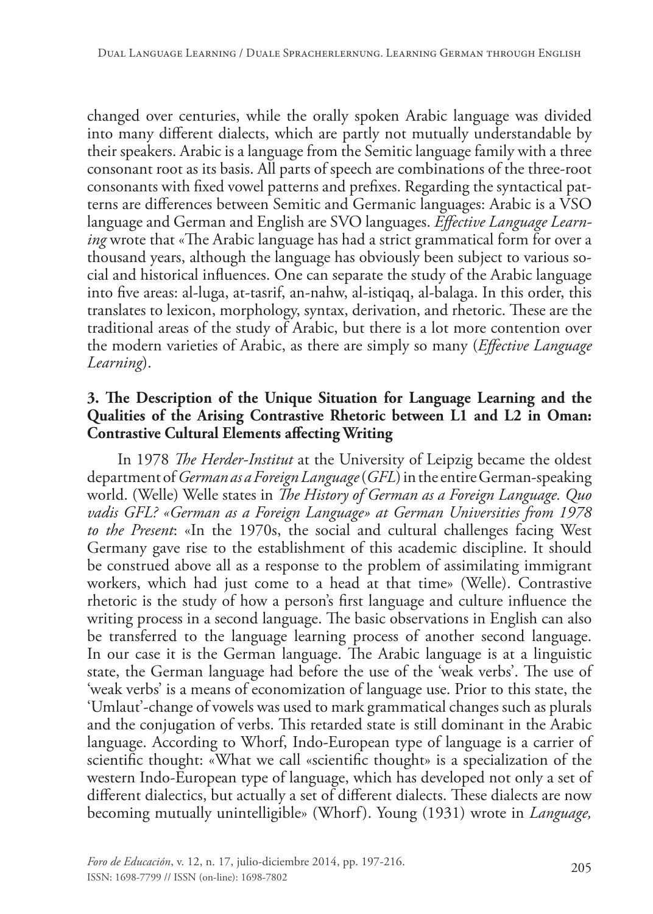changed over centuries, while the orally spoken Arabic language was divided into many different dialects, which are partly not mutually understandable by their speakers. Arabic is a language from the Semitic language family with a three consonant root as its basis. All parts of speech are combinations of the three-root consonants with fixed vowel patterns and prefixes. Regarding the syntactical patterns are differences between Semitic and Germanic languages: Arabic is a VSO language and German and English are SVO languages. *Effective Language Learning* wrote that «The Arabic language has had a strict grammatical form for over a thousand years, although the language has obviously been subject to various social and historical influences. One can separate the study of the Arabic language into five areas: al-luga, at-tasrif, an-nahw, al-istiqaq, al-balaga. In this order, this translates to lexicon, morphology, syntax, derivation, and rhetoric. These are the traditional areas of the study of Arabic, but there is a lot more contention over the modern varieties of Arabic, as there are simply so many (*Effective Language Learning*).

#### **3. The Description of the Unique Situation for Language Learning and the Qualities of the Arising Contrastive Rhetoric between L1 and L2 in Oman: Contrastive Cultural Elements affecting Writing**

In 1978 *The Herder-Institut* at the University of Leipzig became the oldest department of *German as a Foreign Language* (*GFL*) in the entire German-speaking world. (Welle) Welle states in *The History of German as a Foreign Language. Quo vadis GFL? «German as a Foreign Language» at German Universities from 1978 to the Present*: «In the 1970s, the social and cultural challenges facing West Germany gave rise to the establishment of this academic discipline. It should be construed above all as a response to the problem of assimilating immigrant workers, which had just come to a head at that time» (Welle). Contrastive rhetoric is the study of how a person's first language and culture influence the writing process in a second language. The basic observations in English can also be transferred to the language learning process of another second language. In our case it is the German language. The Arabic language is at a linguistic state, the German language had before the use of the 'weak verbs'. The use of 'weak verbs' is a means of economization of language use. Prior to this state, the 'Umlaut'-change of vowels was used to mark grammatical changes such as plurals and the conjugation of verbs. This retarded state is still dominant in the Arabic language. According to Whorf, Indo-European type of language is a carrier of scientific thought: «What we call «scientific thought» is a specialization of the western Indo-European type of language, which has developed not only a set of different dialectics, but actually a set of different dialects. These dialects are now becoming mutually unintelligible» (Whorf). Young (1931) wrote in *Language,*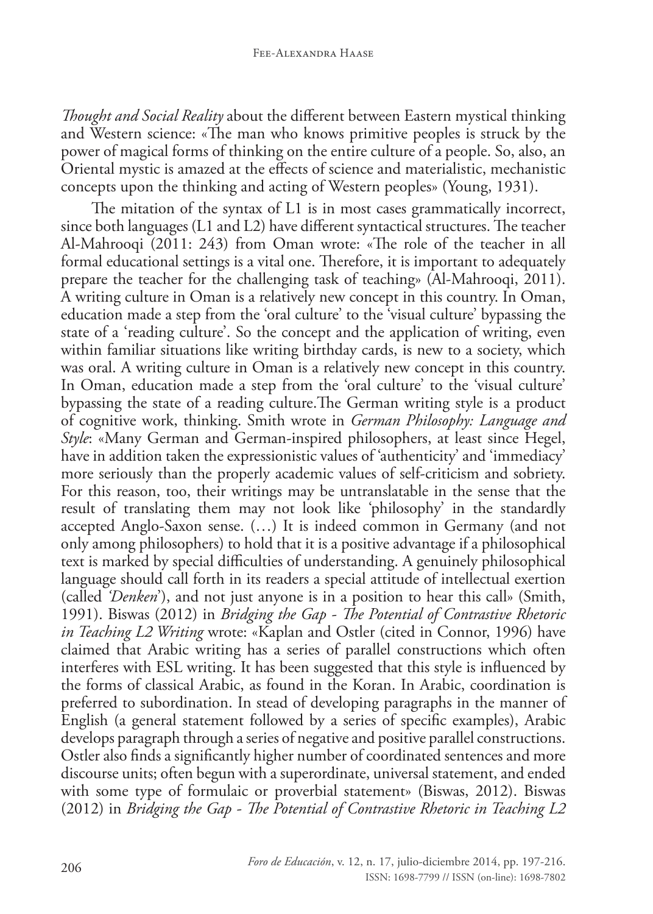*Thought and Social Reality* about the different between Eastern mystical thinking and Western science: «The man who knows primitive peoples is struck by the power of magical forms of thinking on the entire culture of a people. So, also, an Oriental mystic is amazed at the effects of science and materialistic, mechanistic concepts upon the thinking and acting of Western peoples» (Young, 1931).

The mitation of the syntax of L1 is in most cases grammatically incorrect, since both languages (L1 and L2) have different syntactical structures. The teacher Al-Mahrooqi (2011: 243) from Oman wrote: «The role of the teacher in all formal educational settings is a vital one. Therefore, it is important to adequately prepare the teacher for the challenging task of teaching» (Al-Mahrooqi, 2011). A writing culture in Oman is a relatively new concept in this country. In Oman, education made a step from the 'oral culture' to the 'visual culture' bypassing the state of a 'reading culture'. So the concept and the application of writing, even within familiar situations like writing birthday cards, is new to a society, which was oral. A writing culture in Oman is a relatively new concept in this country. In Oman, education made a step from the 'oral culture' to the 'visual culture' bypassing the state of a reading culture.The German writing style is a product of cognitive work, thinking. Smith wrote in *German Philosophy: Language and Style*: «Many German and German-inspired philosophers, at least since Hegel, have in addition taken the expressionistic values of 'authenticity' and 'immediacy' more seriously than the properly academic values of self-criticism and sobriety. For this reason, too, their writings may be untranslatable in the sense that the result of translating them may not look like 'philosophy' in the standardly accepted Anglo-Saxon sense. (…) It is indeed common in Germany (and not only among philosophers) to hold that it is a positive advantage if a philosophical text is marked by special difficulties of understanding. A genuinely philosophical language should call forth in its readers a special attitude of intellectual exertion (called *'Denken*'), and not just anyone is in a position to hear this call» (Smith, 1991). Biswas (2012) in *Bridging the Gap - The Potential of Contrastive Rhetoric in Teaching L2 Writing* wrote: «Kaplan and Ostler (cited in Connor, 1996) have claimed that Arabic writing has a series of parallel constructions which often interferes with ESL writing. It has been suggested that this style is influenced by the forms of classical Arabic, as found in the Koran. In Arabic, coordination is preferred to subordination. In stead of developing paragraphs in the manner of English (a general statement followed by a series of specific examples), Arabic develops paragraph through a series of negative and positive parallel constructions. Ostler also finds a significantly higher number of coordinated sentences and more discourse units; often begun with a superordinate, universal statement, and ended with some type of formulaic or proverbial statement» (Biswas, 2012). Biswas (2012) in *Bridging the Gap - The Potential of Contrastive Rhetoric in Teaching L2*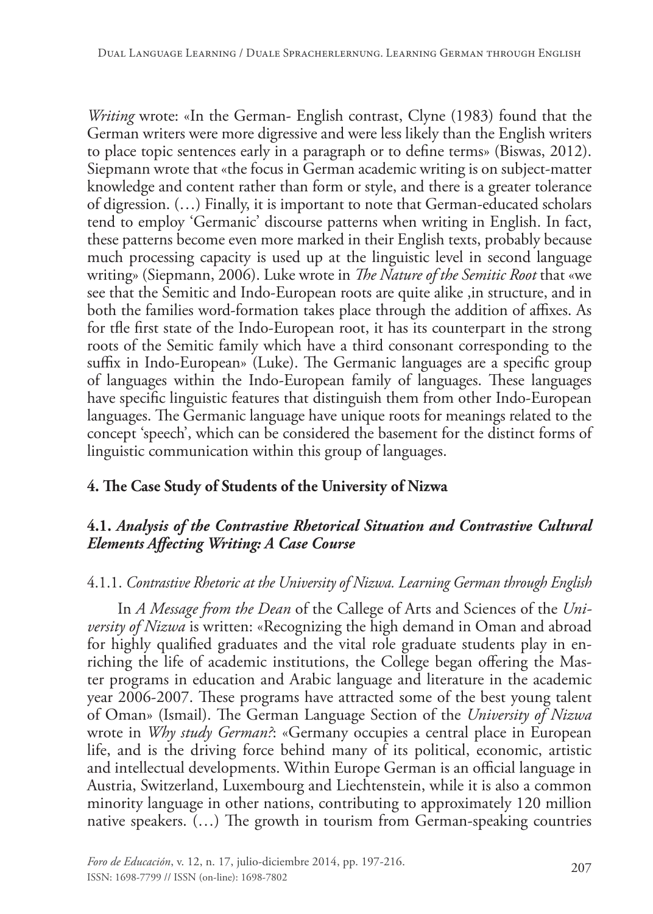*Writing* wrote: «In the German- English contrast, Clyne (1983) found that the German writers were more digressive and were less likely than the English writers to place topic sentences early in a paragraph or to define terms» (Biswas, 2012). Siepmann wrote that «the focus in German academic writing is on subject-matter knowledge and content rather than form or style, and there is a greater tolerance of digression. (…) Finally, it is important to note that German-educated scholars tend to employ 'Germanic' discourse patterns when writing in English. In fact, these patterns become even more marked in their English texts, probably because much processing capacity is used up at the linguistic level in second language writing» (Siepmann, 2006). Luke wrote in *The Nature of the Semitic Root* that «we see that the Semitic and Indo-European roots are quite alike ,in structure, and in both the families word-formation takes place through the addition of affixes. As for tfle first state of the Indo-European root, it has its counterpart in the strong roots of the Semitic family which have a third consonant corresponding to the suffix in Indo-European» (Luke). The Germanic languages are a specific group of languages within the Indo-European family of languages. These languages have specific linguistic features that distinguish them from other Indo-European languages. The Germanic language have unique roots for meanings related to the concept 'speech', which can be considered the basement for the distinct forms of linguistic communication within this group of languages.

### **4. The Case Study of Students of the University of Nizwa**

### **4.1.** *Analysis of the Contrastive Rhetorical Situation and Contrastive Cultural Elements Affecting Writing: A Case Course*

### 4.1.1. *Contrastive Rhetoric at the University of Nizwa. Learning German through English*

In *A Message from the Dean* of the Callege of Arts and Sciences of the *University of Nizwa* is written: «Recognizing the high demand in Oman and abroad for highly qualified graduates and the vital role graduate students play in enriching the life of academic institutions, the College began offering the Master programs in education and Arabic language and literature in the academic year 2006-2007. These programs have attracted some of the best young talent of Oman» (Ismail). The German Language Section of the *University of Nizwa* wrote in *Why study German?*: «Germany occupies a central place in European life, and is the driving force behind many of its political, economic, artistic and intellectual developments. Within Europe German is an official language in Austria, Switzerland, Luxembourg and Liechtenstein, while it is also a common minority language in other nations, contributing to approximately 120 million native speakers. (…) The growth in tourism from German-speaking countries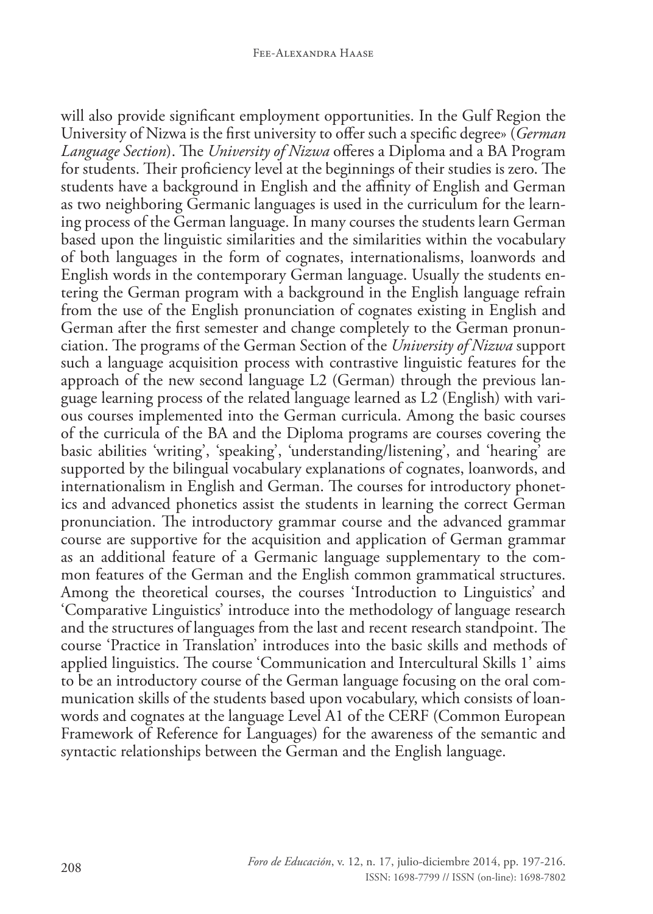will also provide significant employment opportunities. In the Gulf Region the University of Nizwa is the first university to offer such a specific degree» (*German Language Section*). The *University of Nizwa* offeres a Diploma and a BA Program for students. Their proficiency level at the beginnings of their studies is zero. The students have a background in English and the affinity of English and German as two neighboring Germanic languages is used in the curriculum for the learning process of the German language. In many courses the students learn German based upon the linguistic similarities and the similarities within the vocabulary of both languages in the form of cognates, internationalisms, loanwords and English words in the contemporary German language. Usually the students entering the German program with a background in the English language refrain from the use of the English pronunciation of cognates existing in English and German after the first semester and change completely to the German pronunciation. The programs of the German Section of the *University of Nizwa* support such a language acquisition process with contrastive linguistic features for the approach of the new second language L2 (German) through the previous language learning process of the related language learned as L2 (English) with various courses implemented into the German curricula. Among the basic courses of the curricula of the BA and the Diploma programs are courses covering the basic abilities 'writing', 'speaking', 'understanding/listening', and 'hearing' are supported by the bilingual vocabulary explanations of cognates, loanwords, and internationalism in English and German. The courses for introductory phonetics and advanced phonetics assist the students in learning the correct German pronunciation. The introductory grammar course and the advanced grammar course are supportive for the acquisition and application of German grammar as an additional feature of a Germanic language supplementary to the common features of the German and the English common grammatical structures. Among the theoretical courses, the courses 'Introduction to Linguistics' and 'Comparative Linguistics' introduce into the methodology of language research and the structures of languages from the last and recent research standpoint. The course 'Practice in Translation' introduces into the basic skills and methods of applied linguistics. The course 'Communication and Intercultural Skills 1' aims to be an introductory course of the German language focusing on the oral communication skills of the students based upon vocabulary, which consists of loanwords and cognates at the language Level A1 of the CERF (Common European Framework of Reference for Languages) for the awareness of the semantic and syntactic relationships between the German and the English language.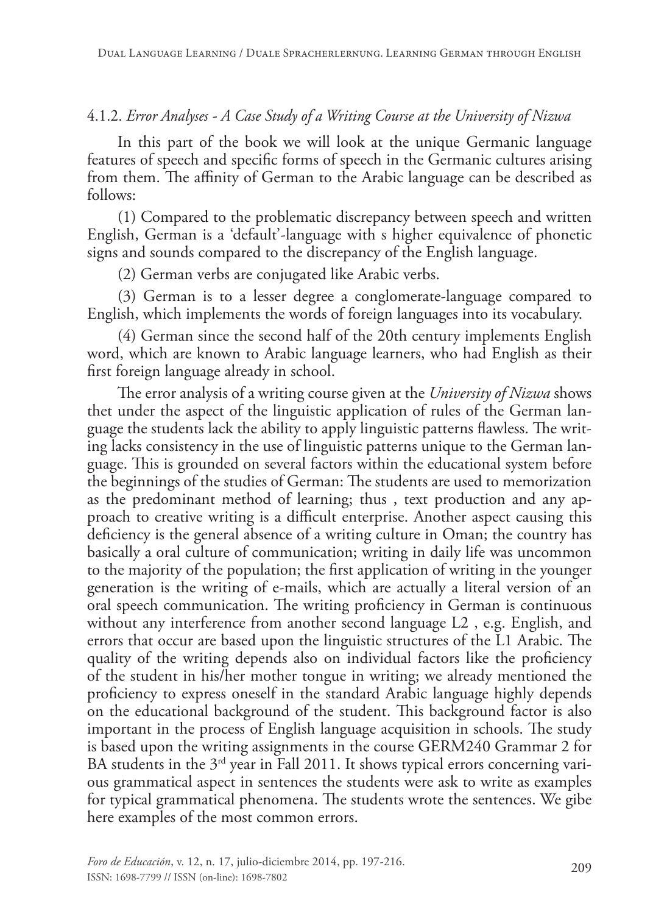#### 4.1.2. *Error Analyses - A Case Study of a Writing Course at the University of Nizwa*

In this part of the book we will look at the unique Germanic language features of speech and specific forms of speech in the Germanic cultures arising from them. The affinity of German to the Arabic language can be described as follows:

(1) Compared to the problematic discrepancy between speech and written English, German is a 'default'-language with s higher equivalence of phonetic signs and sounds compared to the discrepancy of the English language.

(2) German verbs are conjugated like Arabic verbs.

(3) German is to a lesser degree a conglomerate-language compared to English, which implements the words of foreign languages into its vocabulary.

(4) German since the second half of the 20th century implements English word, which are known to Arabic language learners, who had English as their first foreign language already in school.

The error analysis of a writing course given at the *University of Nizwa* shows thet under the aspect of the linguistic application of rules of the German language the students lack the ability to apply linguistic patterns flawless. The writing lacks consistency in the use of linguistic patterns unique to the German language. This is grounded on several factors within the educational system before the beginnings of the studies of German: The students are used to memorization as the predominant method of learning; thus , text production and any approach to creative writing is a difficult enterprise. Another aspect causing this deficiency is the general absence of a writing culture in Oman; the country has basically a oral culture of communication; writing in daily life was uncommon to the majority of the population; the first application of writing in the younger generation is the writing of e-mails, which are actually a literal version of an oral speech communication. The writing proficiency in German is continuous without any interference from another second language L2 , e.g. English, and errors that occur are based upon the linguistic structures of the L1 Arabic. The quality of the writing depends also on individual factors like the proficiency of the student in his/her mother tongue in writing; we already mentioned the proficiency to express oneself in the standard Arabic language highly depends on the educational background of the student. This background factor is also important in the process of English language acquisition in schools. The study is based upon the writing assignments in the course GERM240 Grammar 2 for BA students in the  $3<sup>rd</sup>$  year in Fall 2011. It shows typical errors concerning various grammatical aspect in sentences the students were ask to write as examples for typical grammatical phenomena. The students wrote the sentences. We gibe here examples of the most common errors.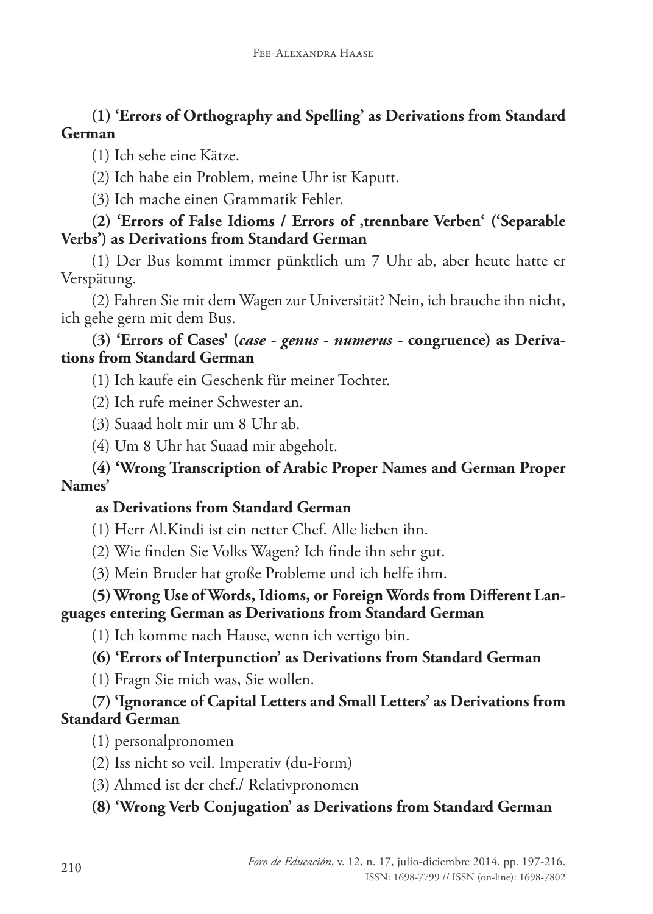### **(1) 'Errors of Orthography and Spelling' as Derivations from Standard German**

(1) Ich sehe eine Kätze.

(2) Ich habe ein Problem, meine Uhr ist Kaputt.

(3) Ich mache einen Grammatik Fehler.

### **(2) 'Errors of False Idioms / Errors of 'trennbare Verben' ('Separable Verbs') as Derivations from Standard German**

(1) Der Bus kommt immer pünktlich um 7 Uhr ab, aber heute hatte er Verspätung.

(2) Fahren Sie mit dem Wagen zur Universität? Nein, ich brauche ihn nicht, ich gehe gern mit dem Bus.

#### **(3) 'Errors of Cases' (***case - genus - numerus -* **congruence) as Derivations from Standard German**

(1) Ich kaufe ein Geschenk für meiner Tochter.

(2) Ich rufe meiner Schwester an.

(3) Suaad holt mir um 8 Uhr ab.

(4) Um 8 Uhr hat Suaad mir abgeholt.

### **(4) 'Wrong Transcription of Arabic Proper Names and German Proper Names'**

### **as Derivations from Standard German**

- (1) Herr Al.Kindi ist ein netter Chef. Alle lieben ihn.
- (2) Wie finden Sie Volks Wagen? Ich finde ihn sehr gut.
- (3) Mein Bruder hat große Probleme und ich helfe ihm.

### **(5) Wrong Use of Words, Idioms, or Foreign Words from Different Languages entering German as Derivations from Standard German**

(1) Ich komme nach Hause, wenn ich vertigo bin.

## **(6) 'Errors of Interpunction' as Derivations from Standard German**

(1) Fragn Sie mich was, Sie wollen.

### **(7) 'Ignorance of Capital Letters and Small Letters' as Derivations from Standard German**

(1) personalpronomen

- (2) Iss nicht so veil. Imperativ (du-Form)
- (3) Ahmed ist der chef./ Relativpronomen

**(8) 'Wrong Verb Conjugation' as Derivations from Standard German**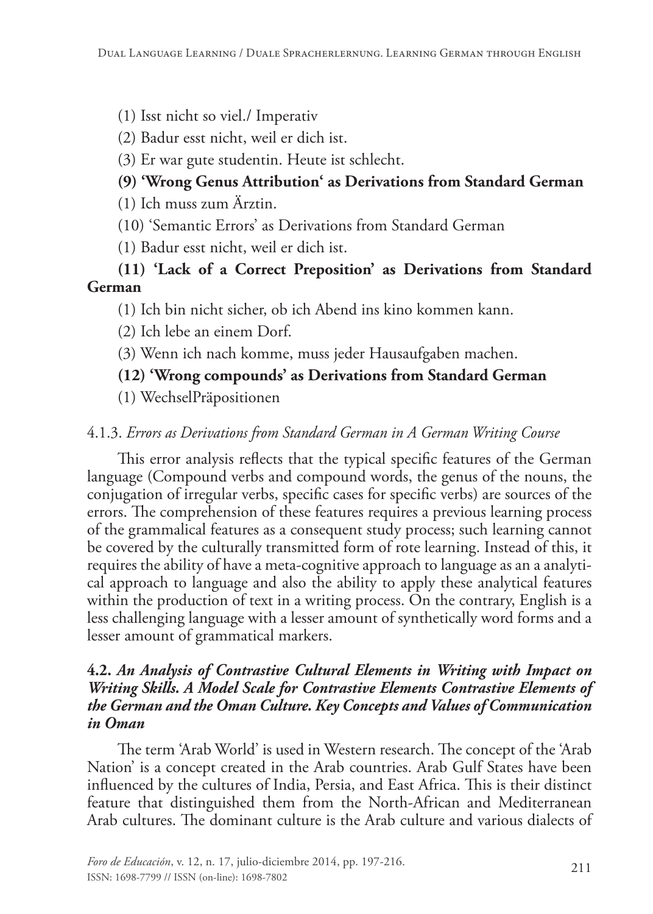- (1) Isst nicht so viel./ Imperativ
- (2) Badur esst nicht, weil er dich ist.
- (3) Er war gute studentin. Heute ist schlecht.

## **(9) 'Wrong Genus Attribution' as Derivations from Standard German**

(1) Ich muss zum Ärztin.

- (10) 'Semantic Errors' as Derivations from Standard German
- (1) Badur esst nicht, weil er dich ist.

### **(11) 'Lack of a Correct Preposition' as Derivations from Standard German**

(1) Ich bin nicht sicher, ob ich Abend ins kino kommen kann.

(2) Ich lebe an einem Dorf.

(3) Wenn ich nach komme, muss jeder Hausaufgaben machen.

### **(12) 'Wrong compounds' as Derivations from Standard German**

(1) WechselPräpositionen

### 4.1.3. *Errors as Derivations from Standard German in A German Writing Course*

This error analysis reflects that the typical specific features of the German language (Compound verbs and compound words, the genus of the nouns, the conjugation of irregular verbs, specific cases for specific verbs) are sources of the errors. The comprehension of these features requires a previous learning process of the grammalical features as a consequent study process; such learning cannot be covered by the culturally transmitted form of rote learning. Instead of this, it requires the ability of have a meta-cognitive approach to language as an a analytical approach to language and also the ability to apply these analytical features within the production of text in a writing process. On the contrary, English is a less challenging language with a lesser amount of synthetically word forms and a lesser amount of grammatical markers.

#### **4.2.** *An Analysis of Contrastive Cultural Elements in Writing with Impact on Writing Skills. A Model Scale for Contrastive Elements Contrastive Elements of the German and the Oman Culture. Key Concepts and Values of Communication in Oman*

The term 'Arab World' is used in Western research. The concept of the 'Arab Nation' is a concept created in the Arab countries. Arab Gulf States have been influenced by the cultures of India, Persia, and East Africa. This is their distinct feature that distinguished them from the North-African and Mediterranean Arab cultures. The dominant culture is the Arab culture and various dialects of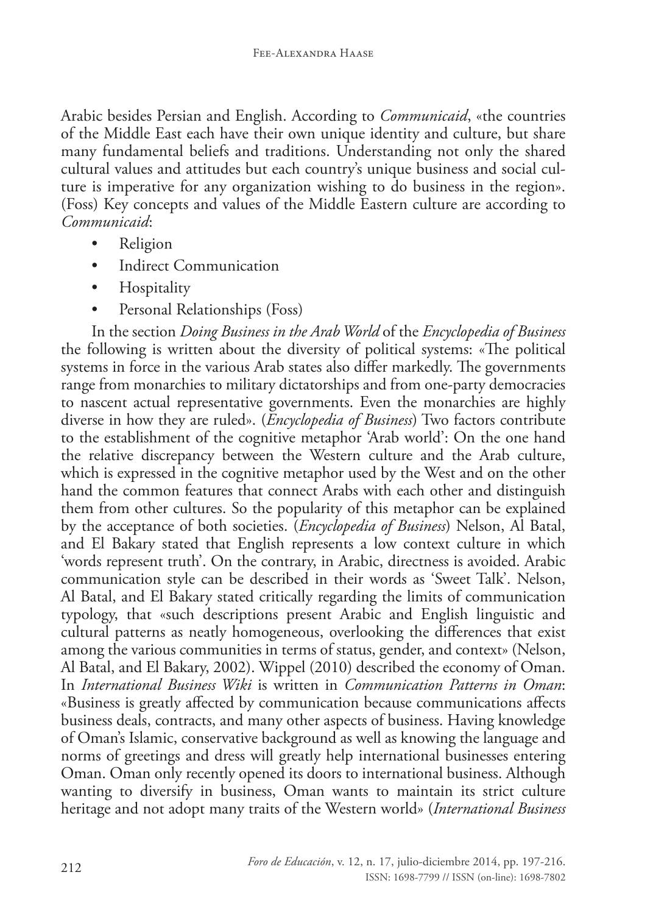Arabic besides Persian and English. According to *Communicaid*, «the countries of the Middle East each have their own unique identity and culture, but share many fundamental beliefs and traditions. Understanding not only the shared cultural values and attitudes but each country's unique business and social culture is imperative for any organization wishing to do business in the region». (Foss) Key concepts and values of the Middle Eastern culture are according to *Communicaid*:

- Religion
- Indirect Communication
- **Hospitality**
- Personal Relationships (Foss)

In the section *Doing Business in the Arab World* of the *Encyclopedia of Business* the following is written about the diversity of political systems: «The political systems in force in the various Arab states also differ markedly. The governments range from monarchies to military dictatorships and from one-party democracies to nascent actual representative governments. Even the monarchies are highly diverse in how they are ruled». (*Encyclopedia of Business*) Two factors contribute to the establishment of the cognitive metaphor 'Arab world': On the one hand the relative discrepancy between the Western culture and the Arab culture, which is expressed in the cognitive metaphor used by the West and on the other hand the common features that connect Arabs with each other and distinguish them from other cultures. So the popularity of this metaphor can be explained by the acceptance of both societies. (*Encyclopedia of Business*) Nelson, Al Batal, and El Bakary stated that English represents a low context culture in which 'words represent truth'. On the contrary, in Arabic, directness is avoided. Arabic communication style can be described in their words as 'Sweet Talk'. Nelson, Al Batal, and El Bakary stated critically regarding the limits of communication typology, that «such descriptions present Arabic and English linguistic and cultural patterns as neatly homogeneous, overlooking the differences that exist among the various communities in terms of status, gender, and context» (Nelson, Al Batal, and El Bakary, 2002). Wippel (2010) described the economy of Oman. In *International Business Wiki* is written in *Communication Patterns in Oman*: «Business is greatly affected by communication because communications affects business deals, contracts, and many other aspects of business. Having knowledge of Oman's Islamic, conservative background as well as knowing the language and norms of greetings and dress will greatly help international businesses entering Oman. Oman only recently opened its doors to international business. Although wanting to diversify in business, Oman wants to maintain its strict culture heritage and not adopt many traits of the Western world» (*International Business*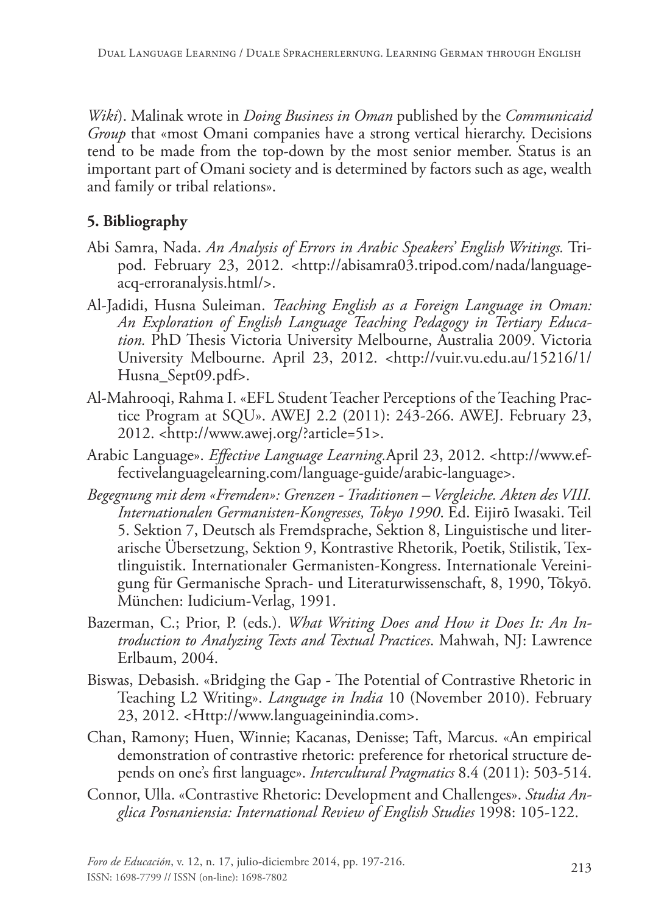*Wiki*). Malinak wrote in *Doing Business in Oman* published by the *Communicaid Group* that «most Omani companies have a strong vertical hierarchy. Decisions tend to be made from the top-down by the most senior member. Status is an important part of Omani society and is determined by factors such as age, wealth and family or tribal relations».

### **5. Bibliography**

- Abi Samra, Nada. *An Analysis of Errors in Arabic Speakers' English Writings.* Tripod. February 23, 2012. <http://abisamra03.tripod.com/nada/languageacq-erroranalysis.html/>.
- Al-Jadidi, Husna Suleiman. *Teaching English as a Foreign Language in Oman: An Exploration of English Language Teaching Pedagogy in Tertiary Education.* PhD Thesis Victoria University Melbourne, Australia 2009. Victoria University Melbourne. April 23, 2012. <http://vuir.vu.edu.au/15216/1/ Husna\_Sept09.pdf>.
- Al-Mahrooqi, Rahma I. «EFL Student Teacher Perceptions of the Teaching Practice Program at SQU». AWEJ 2.2 (2011): 243-266. AWEJ. February 23, 2012. <http://www.awej.org/?article=51>.
- Arabic Language». *Effective Language Learning.*April 23, 2012. <http://www.effectivelanguagelearning.com/language-guide/arabic-language>.
- *Begegnung mit dem «Fremden»: Grenzen Traditionen Vergleiche. Akten des VIII. Internationalen Germanisten-Kongresses, Tokyo 1990*. Ed. Eijirō Iwasaki. Teil 5. Sektion 7, Deutsch als Fremdsprache, Sektion 8, Linguistische und literarische Übersetzung, Sektion 9, Kontrastive Rhetorik, Poetik, Stilistik, Textlinguistik. Internationaler Germanisten-Kongress. Internationale Vereinigung für Germanische Sprach- und Literaturwissenschaft, 8, 1990, Tōkyō. München: Iudicium-Verlag, 1991.
- Bazerman, C.; Prior, P. (eds.). *What Writing Does and How it Does It: An Introduction to Analyzing Texts and Textual Practices*. Mahwah, NJ: Lawrence Erlbaum, 2004.
- Biswas, Debasish. «Bridging the Gap The Potential of Contrastive Rhetoric in Teaching L2 Writing». *Language in India* 10 (November 2010). February 23, 2012. <Http://www.languageinindia.com>.
- Chan, Ramony; Huen, Winnie; Kacanas, Denisse; Taft, Marcus. «An empirical demonstration of contrastive rhetoric: preference for rhetorical structure depends on one's first language». *Intercultural Pragmatics* 8.4 (2011): 503-514.
- Connor, Ulla. «Contrastive Rhetoric: Development and Challenges». *Studia Anglica Posnaniensia: International Review of English Studies* 1998: 105-122.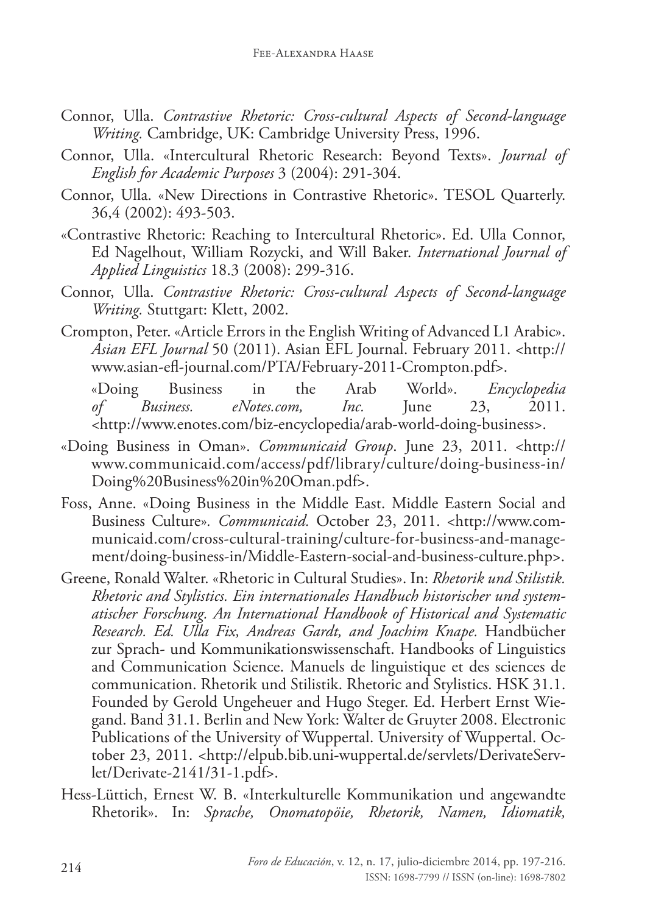- Connor, Ulla. *Contrastive Rhetoric: Cross-cultural Aspects of Second-language Writing.* Cambridge, UK: Cambridge University Press, 1996.
- Connor, Ulla. «Intercultural Rhetoric Research: Beyond Texts». *Journal of English for Academic Purposes* 3 (2004): 291-304.
- Connor, Ulla. «New Directions in Contrastive Rhetoric». TESOL Quarterly. 36,4 (2002): 493-503.
- «Contrastive Rhetoric: Reaching to Intercultural Rhetoric». Ed. Ulla Connor, Ed Nagelhout, William Rozycki, and Will Baker. *International Journal of Applied Linguistics* 18.3 (2008): 299-316.
- Connor, Ulla. *Contrastive Rhetoric: Cross-cultural Aspects of Second-language Writing.* Stuttgart: Klett, 2002.
- Crompton, Peter. «Article Errors in the English Writing of Advanced L1 Arabic». *Asian EFL Journal* 50 (2011). Asian EFL Journal. February 2011. <http:// www.asian-efl-journal.com/PTA/February-2011-Crompton.pdf>.

 «Doing Business in the Arab World». *Encyclopedia of Business. eNotes.com, Inc.* June 23, 2011. <http://www.enotes.com/biz-encyclopedia/arab-world-doing-business>.

- «Doing Business in Oman». *Communicaid Group*. June 23, 2011. <http:// www.communicaid.com/access/pdf/library/culture/doing-business-in/ Doing%20Business%20in%20Oman.pdf>.
- Foss, Anne. «Doing Business in the Middle East. Middle Eastern Social and Business Culture»*. Communicaid.* October 23, 2011. <http://www.communicaid.com/cross-cultural-training/culture-for-business-and-management/doing-business-in/Middle-Eastern-social-and-business-culture.php>.
- Greene, Ronald Walter. «Rhetoric in Cultural Studies». In: *Rhetorik und Stilistik. Rhetoric and Stylistics. Ein internationales Handbuch historischer und systematischer Forschung. An International Handbook of Historical and Systematic Research. Ed. Ulla Fix, Andreas Gardt, and Joachim Knape.* Handbücher zur Sprach- und Kommunikationswissenschaft. Handbooks of Linguistics and Communication Science. Manuels de linguistique et des sciences de communication. Rhetorik und Stilistik. Rhetoric and Stylistics. HSK 31.1. Founded by Gerold Ungeheuer and Hugo Steger. Ed. Herbert Ernst Wiegand. Band 31.1. Berlin and New York: Walter de Gruyter 2008. Electronic Publications of the University of Wuppertal. University of Wuppertal. October 23, 2011. <http://elpub.bib.uni-wuppertal.de/servlets/DerivateServlet/Derivate-2141/31-1.pdf>.
- Hess-Lüttich, Ernest W. B. «Interkulturelle Kommunikation und angewandte Rhetorik». In: *Sprache, Onomatopöie, Rhetorik, Namen, Idiomatik,*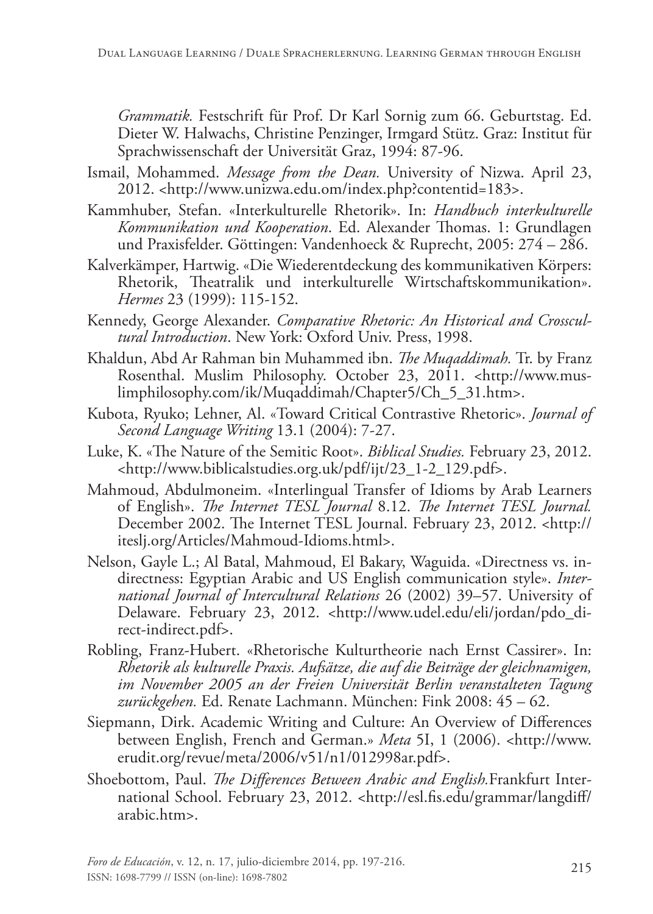*Grammatik.* Festschrift für Prof. Dr Karl Sornig zum 66. Geburtstag. Ed. Dieter W. Halwachs, Christine Penzinger, Irmgard Stütz. Graz: Institut für Sprachwissenschaft der Universität Graz, 1994: 87-96.

- Ismail, Mohammed. *Message from the Dean.* University of Nizwa. April 23, 2012. <http://www.unizwa.edu.om/index.php?contentid=183>.
- Kammhuber, Stefan. «Interkulturelle Rhetorik». In: *Handbuch interkulturelle Kommunikation und Kooperation*. Ed. Alexander Thomas. 1: Grundlagen und Praxisfelder. Göttingen: Vandenhoeck & Ruprecht, 2005: 274 – 286.
- Kalverkämper, Hartwig. «Die Wiederentdeckung des kommunikativen Körpers: Rhetorik, Theatralik und interkulturelle Wirtschaftskommunikation». *Hermes* 23 (1999): 115-152.
- Kennedy, George Alexander. *Comparative Rhetoric: An Historical and Crosscultural Introduction*. New York: Oxford Univ. Press, 1998.
- Khaldun, Abd Ar Rahman bin Muhammed ibn. *The Muqaddimah.* Tr. by Franz Rosenthal. Muslim Philosophy. October 23, 2011. <http://www.muslimphilosophy.com/ik/Muqaddimah/Chapter5/Ch\_5\_31.htm>.
- Kubota, Ryuko; Lehner, Al. «Toward Critical Contrastive Rhetoric». *Journal of Second Language Writing* 13.1 (2004): 7-27.
- Luke, K. «The Nature of the Semitic Root». *Biblical Studies.* February 23, 2012. <http://www.biblicalstudies.org.uk/pdf/ijt/23\_1-2\_129.pdf>.
- Mahmoud, Abdulmoneim. «Interlingual Transfer of Idioms by Arab Learners of English». *The Internet TESL Journal* 8.12. *The Internet TESL Journal.* December 2002. The Internet TESL Journal. February 23, 2012. <http:// iteslj.org/Articles/Mahmoud-Idioms.html>.
- Nelson, Gayle L.; Al Batal, Mahmoud, El Bakary, Waguida. «Directness vs. indirectness: Egyptian Arabic and US English communication style». *International Journal of Intercultural Relations* 26 (2002) 39–57. University of Delaware. February 23, 2012. <http://www.udel.edu/eli/jordan/pdo\_direct-indirect.pdf>.
- Robling, Franz-Hubert. «Rhetorische Kulturtheorie nach Ernst Cassirer». In: *Rhetorik als kulturelle Praxis. Aufsätze, die auf die Beiträge der gleichnamigen, im November 2005 an der Freien Universität Berlin veranstalteten Tagung zurückgehen.* Ed. Renate Lachmann. München: Fink 2008: 45 – 62.
- Siepmann, Dirk. Academic Writing and Culture: An Overview of Differences between English, French and German.» *Meta* 5I, 1 (2006). <http://www. erudit.org/revue/meta/2006/v51/n1/012998ar.pdf>.
- Shoebottom, Paul. *The Differences Between Arabic and English.*Frankfurt International School. February 23, 2012. <http://esl.fis.edu/grammar/langdiff/ arabic.htm>.